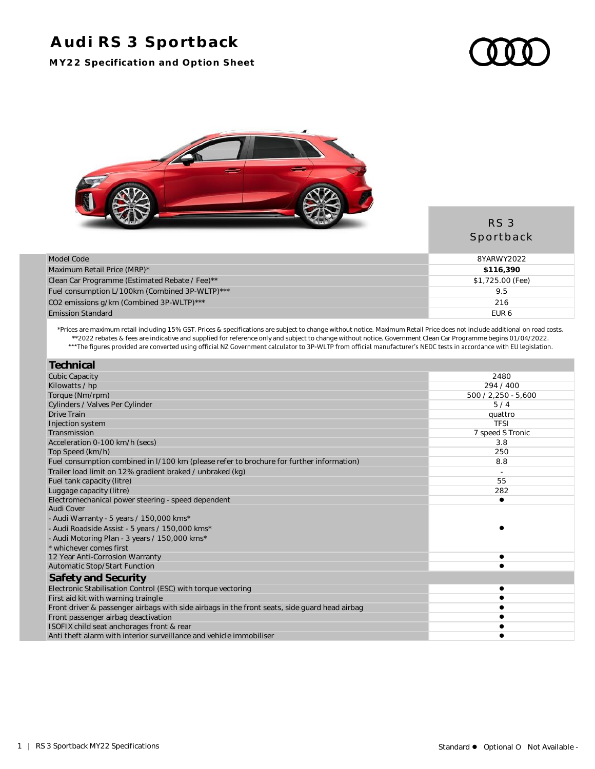## **Audi RS 3 Sportback**

**MY22 Specification and Option Sheet**





## RS 3 **Sportback**

| Model Code                                     | 8YARWY2022       |
|------------------------------------------------|------------------|
| Maximum Retail Price (MRP)*                    | \$116,390        |
| Clean Car Programme (Estimated Rebate / Fee)** | \$1,725.00 (Fee) |
| Fuel consumption L/100km (Combined 3P-WLTP)*** | 9.5              |
| CO2 emissions g/km (Combined 3P-WLTP)***       | 216              |
| <b>Emission Standard</b>                       | FUR <sub>6</sub> |

\*Prices are maximum retail including 15% GST. Prices & specifications are subject to change without notice. Maximum Retail Price does not include additional on road costs. \*\*2022 rebates & fees are indicative and supplied for reference only and subject to change without notice. Government Clean Car Programme begins 01/04/2022.

| Technical                                                                                     |                       |
|-----------------------------------------------------------------------------------------------|-----------------------|
| <b>Cubic Capacity</b>                                                                         | 2480                  |
| Kilowatts / hp                                                                                | 294 / 400             |
| Torque (Nm/rpm)                                                                               | $500 / 2,250 - 5,600$ |
| Cylinders / Valves Per Cylinder                                                               | 5/4                   |
| <b>Drive Train</b>                                                                            | quattro               |
| Injection system                                                                              | <b>TFSI</b>           |
| Transmission                                                                                  | 7 speed S Tronic      |
| Acceleration 0-100 km/h (secs)                                                                | 3.8                   |
| Top Speed (km/h)                                                                              | 250                   |
| Fuel consumption combined in I/100 km (please refer to brochure for further information)      | 8.8                   |
| Trailer load limit on 12% gradient braked / unbraked (kg)                                     |                       |
| Fuel tank capacity (litre)                                                                    | 55                    |
| Luggage capacity (litre)                                                                      | 282                   |
| Electromechanical power steering - speed dependent                                            | $\bullet$             |
| Audi Cover                                                                                    |                       |
| - Audi Warranty - 5 years / 150,000 kms*                                                      |                       |
| - Audi Roadside Assist - 5 years / 150,000 kms*                                               |                       |
| - Audi Motoring Plan - 3 years / 150,000 kms*                                                 |                       |
| * whichever comes first                                                                       |                       |
| 12 Year Anti-Corrosion Warranty                                                               |                       |
| Automatic Stop/Start Function                                                                 |                       |
| Safety and Security                                                                           |                       |
| Electronic Stabilisation Control (ESC) with torque vectoring                                  |                       |
| First aid kit with warning traingle                                                           |                       |
| Front driver & passenger airbags with side airbags in the front seats, side guard head airbag |                       |
| Front passenger airbag deactivation                                                           |                       |
| ISOFIX child seat anchorages front & rear                                                     |                       |
| Anti theft alarm with interior surveillance and vehicle immobiliser                           |                       |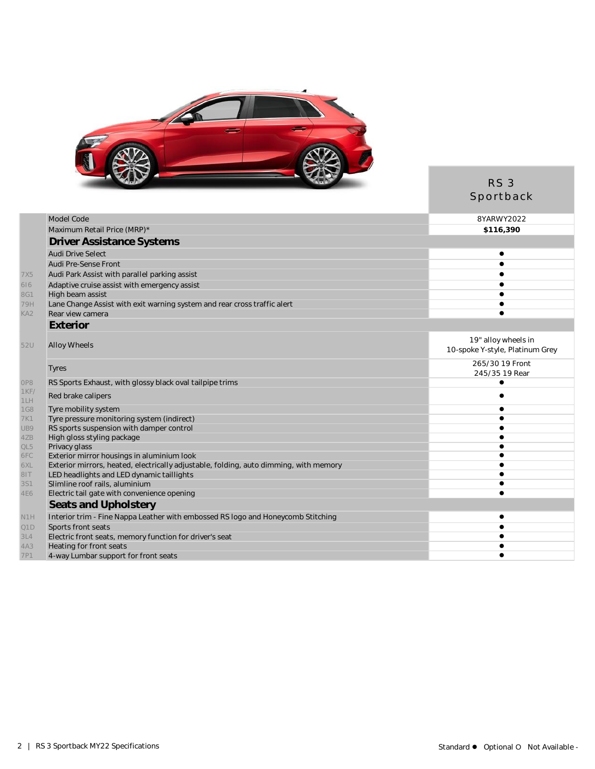

RS 3 **Sportback** 

|                   | Model Code                                                                            | 8YARWY2022                                             |
|-------------------|---------------------------------------------------------------------------------------|--------------------------------------------------------|
|                   | Maximum Retail Price (MRP)*                                                           | \$116.390                                              |
|                   | <b>Driver Assistance Systems</b>                                                      |                                                        |
|                   | <b>Audi Drive Select</b>                                                              |                                                        |
|                   | Audi Pre-Sense Front                                                                  |                                                        |
| <b>7X5</b>        | Audi Park Assist with parallel parking assist                                         |                                                        |
| 616               | Adaptive cruise assist with emergency assist                                          |                                                        |
| <b>8G1</b>        | High beam assist                                                                      |                                                        |
| 79H               | Lane Change Assist with exit warning system and rear cross traffic alert              |                                                        |
| KA <sub>2</sub>   | Rear view camera                                                                      |                                                        |
|                   | Exterior                                                                              |                                                        |
| 52U               | Alloy Wheels                                                                          | 19" alloy wheels in<br>10-spoke Y-style, Platinum Grey |
|                   | <b>Tyres</b>                                                                          | 265/30 19 Front<br>245/35 19 Rear                      |
| OP8               | RS Sports Exhaust, with glossy black oval tailpipe trims                              |                                                        |
| 1KF/<br>1LH       | Red brake calipers                                                                    |                                                        |
| <b>1G8</b>        | Tyre mobility system                                                                  |                                                        |
| <b>7K1</b>        | Tyre pressure monitoring system (indirect)                                            |                                                        |
| UB9               | RS sports suspension with damper control                                              |                                                        |
| 4ZB               | High gloss styling package                                                            |                                                        |
| QL5               | Privacy glass                                                                         |                                                        |
| 6FC               | Exterior mirror housings in aluminium look                                            |                                                        |
| 6XL               | Exterior mirrors, heated, electrically adjustable, folding, auto dimming, with memory |                                                        |
| 8IT<br><b>3S1</b> | LED headlights and LED dynamic taillights<br>Slimline roof rails, aluminium           |                                                        |
| <b>4E6</b>        | Electric tail gate with convenience opening                                           |                                                        |
|                   | Seats and Upholstery                                                                  |                                                        |
|                   |                                                                                       |                                                        |
| N <sub>1</sub> H  | Interior trim - Fine Nappa Leather with embossed RS logo and Honeycomb Stitching      |                                                        |
| Q <sub>1</sub> D  | Sports front seats                                                                    |                                                        |
| 3L4               | Electric front seats, memory function for driver's seat<br>Heating for front seats    |                                                        |
| 4A3<br><b>7P1</b> | 4-way Lumbar support for front seats                                                  |                                                        |
|                   |                                                                                       |                                                        |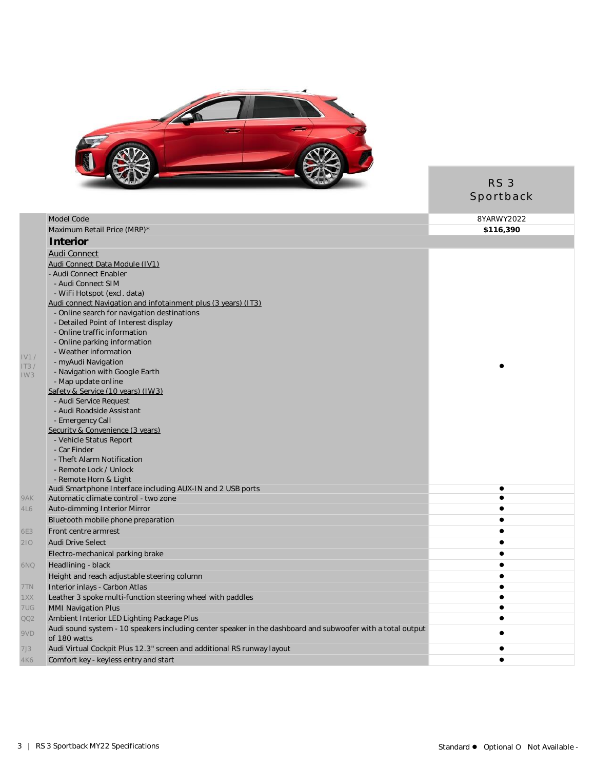

RS 3 Sportback

| Model Code                                                                                                  | 8YARWY2022 |
|-------------------------------------------------------------------------------------------------------------|------------|
| Maximum Retail Price (MRP)*                                                                                 | \$116,390  |
| Interior                                                                                                    |            |
| <b>Audi Connect</b>                                                                                         |            |
| Audi Connect Data Module (IV1)                                                                              |            |
| - Audi Connect Enabler                                                                                      |            |
| - Audi Connect SIM                                                                                          |            |
| - WiFi Hotspot (excl. data)                                                                                 |            |
| Audi connect Navigation and infotainment plus (3 years) (IT3)                                               |            |
| - Online search for navigation destinations                                                                 |            |
| - Detailed Point of Interest display                                                                        |            |
| - Online traffic information                                                                                |            |
| - Online parking information                                                                                |            |
| - Weather information                                                                                       |            |
| - myAudi Navigation                                                                                         |            |
| - Navigation with Google Earth                                                                              |            |
| - Map update online<br>Safety & Service (10 years) (IW3)                                                    |            |
| - Audi Service Request                                                                                      |            |
| - Audi Roadside Assistant                                                                                   |            |
| - Emergency Call                                                                                            |            |
| Security & Convenience (3 years)                                                                            |            |
| - Vehicle Status Report                                                                                     |            |
| - Car Finder                                                                                                |            |
| - Theft Alarm Notification                                                                                  |            |
| - Remote Lock / Unlock                                                                                      |            |
| - Remote Horn & Light                                                                                       |            |
| Audi Smartphone Interface including AUX-IN and 2 USB ports                                                  | $\bullet$  |
| Automatic climate control - two zone                                                                        | $\bullet$  |
| Auto-dimming Interior Mirror                                                                                |            |
| Bluetooth mobile phone preparation                                                                          |            |
| Front centre armrest                                                                                        |            |
| <b>Audi Drive Select</b>                                                                                    | $\bullet$  |
| Electro-mechanical parking brake                                                                            |            |
| Headlining - black                                                                                          |            |
| Height and reach adjustable steering column                                                                 |            |
| Interior inlays - Carbon Atlas                                                                              |            |
| Leather 3 spoke multi-function steering wheel with paddles                                                  | $\bullet$  |
| MMI Navigation Plus                                                                                         | $\bullet$  |
| Ambient Interior LED Lighting Package Plus                                                                  |            |
| Audi sound system - 10 speakers including center speaker in the dashboard and subwoofer with a total output |            |
| of 180 watts                                                                                                |            |
| Audi Virtual Cockpit Plus 12.3" screen and additional RS runway layout                                      |            |
| Comfort key - keyless entry and start                                                                       | $\bullet$  |